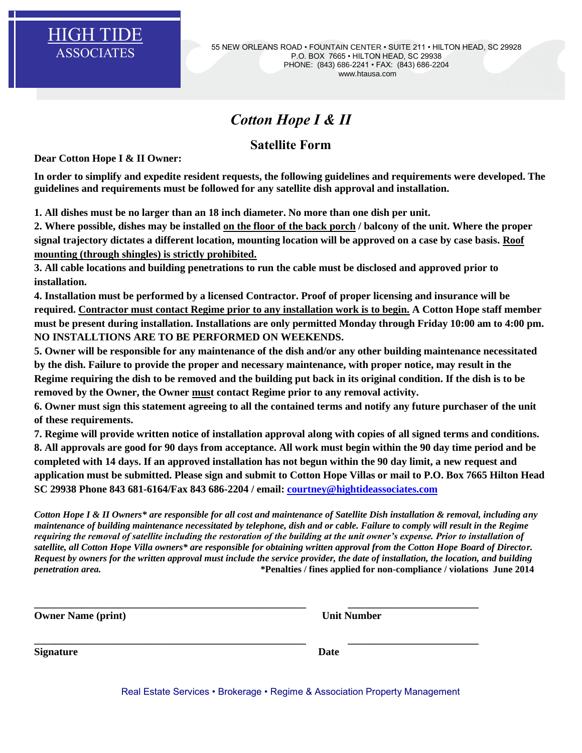

## *Cotton Hope I & II*

## **Satellite Form**

**Dear Cotton Hope I & II Owner:**

**In order to simplify and expedite resident requests, the following guidelines and requirements were developed. The guidelines and requirements must be followed for any satellite dish approval and installation.**

**1. All dishes must be no larger than an 18 inch diameter. No more than one dish per unit.**

**2. Where possible, dishes may be installed on the floor of the back porch / balcony of the unit. Where the proper signal trajectory dictates a different location, mounting location will be approved on a case by case basis. Roof mounting (through shingles) is strictly prohibited.**

**3. All cable locations and building penetrations to run the cable must be disclosed and approved prior to installation.**

**4. Installation must be performed by a licensed Contractor. Proof of proper licensing and insurance will be required. Contractor must contact Regime prior to any installation work is to begin. A Cotton Hope staff member must be present during installation. Installations are only permitted Monday through Friday 10:00 am to 4:00 pm. NO INSTALLTIONS ARE TO BE PERFORMED ON WEEKENDS.**

**5. Owner will be responsible for any maintenance of the dish and/or any other building maintenance necessitated by the dish. Failure to provide the proper and necessary maintenance, with proper notice, may result in the Regime requiring the dish to be removed and the building put back in its original condition. If the dish is to be removed by the Owner, the Owner must contact Regime prior to any removal activity.**

**6. Owner must sign this statement agreeing to all the contained terms and notify any future purchaser of the unit of these requirements.** 

**7. Regime will provide written notice of installation approval along with copies of all signed terms and conditions. 8. All approvals are good for 90 days from acceptance. All work must begin within the 90 day time period and be completed with 14 days. If an approved installation has not begun within the 90 day limit, a new request and application must be submitted. Please sign and submit to Cotton Hope Villas or mail to P.O. Box 7665 Hilton Head SC 29938 Phone 843 681-6164/Fax 843 686-2204 / email: [courtney@hightideassociates.com](mailto:courtney@hightideassociates.com)**

*Cotton Hope I & II Owners\* are responsible for all cost and maintenance of Satellite Dish installation & removal, including any maintenance of building maintenance necessitated by telephone, dish and or cable. Failure to comply will result in the Regime requiring the removal of satellite including the restoration of the building at the unit owner's expense. Prior to installation of satellite, all Cotton Hope Villa owners\* are responsible for obtaining written approval from the Cotton Hope Board of Director. Request by owners for the written approval must include the service provider, the date of installation, the location, and building penetration area.* **\*Penalties / fines applied for non-compliance / violations June 2014** 

**\_\_\_\_\_\_\_\_\_\_\_\_\_\_\_\_\_\_\_\_\_\_\_\_\_\_\_\_\_\_\_\_\_\_\_\_\_\_\_\_\_\_\_\_\_\_\_\_\_\_\_\_ \_\_\_\_\_\_\_\_\_\_\_\_\_\_\_\_\_\_\_\_\_\_\_\_\_**

**Owner Name (print)** Unit Number

**Signature** Date Date Date

**\_\_\_\_\_\_\_\_\_\_\_\_\_\_\_\_\_\_\_\_\_\_\_\_\_\_\_\_\_\_\_\_\_\_\_\_\_\_\_\_\_\_\_\_\_\_\_\_\_\_\_\_ \_\_\_\_\_\_\_\_\_\_\_\_\_\_\_\_\_\_\_\_\_\_\_\_\_**